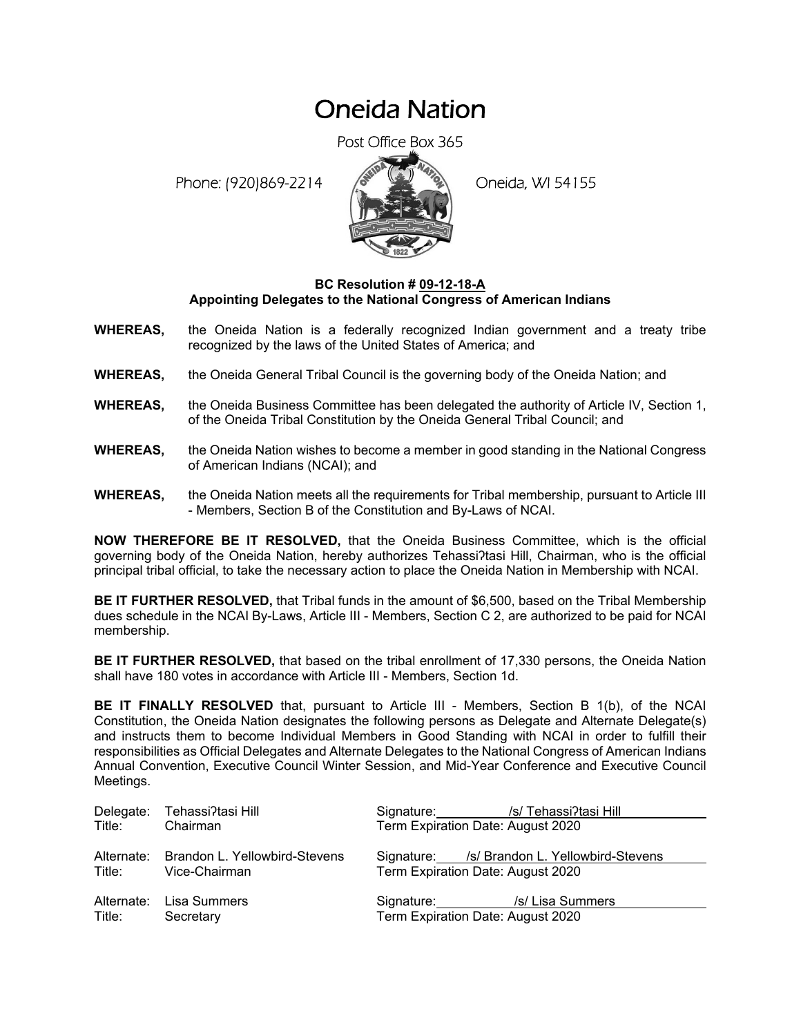## Oneida Nation

Post Office Box 365

Phone: (920)869-2214 (8 April 19) Oneida, WI 54155



## **BC Resolution # 09-12-18-A Appointing Delegates to the National Congress of American Indians**

- **WHEREAS,** the Oneida Nation is a federally recognized Indian government and a treaty tribe recognized by the laws of the United States of America; and
- **WHEREAS,** the Oneida General Tribal Council is the governing body of the Oneida Nation; and
- **WHEREAS,** the Oneida Business Committee has been delegated the authority of Article IV, Section 1, of the Oneida Tribal Constitution by the Oneida General Tribal Council; and
- **WHEREAS,** the Oneida Nation wishes to become a member in good standing in the National Congress of American Indians (NCAI); and
- **WHEREAS,** the Oneida Nation meets all the requirements for Tribal membership, pursuant to Article III - Members, Section B of the Constitution and By-Laws of NCAI.

**NOW THEREFORE BE IT RESOLVED,** that the Oneida Business Committee, which is the official governing body of the Oneida Nation, hereby authorizes Tehassi?tasi Hill, Chairman, who is the official principal tribal official, to take the necessary action to place the Oneida Nation in Membership with NCAI.

**BE IT FURTHER RESOLVED,** that Tribal funds in the amount of \$6,500, based on the Tribal Membership dues schedule in the NCAI By-Laws, Article III - Members, Section C 2, are authorized to be paid for NCAI membership.

**BE IT FURTHER RESOLVED,** that based on the tribal enrollment of 17,330 persons, the Oneida Nation shall have 180 votes in accordance with Article III - Members, Section 1d.

**BE IT FINALLY RESOLVED** that, pursuant to Article III - Members, Section B 1(b), of the NCAI Constitution, the Oneida Nation designates the following persons as Delegate and Alternate Delegate(s) and instructs them to become Individual Members in Good Standing with NCAI in order to fulfill their responsibilities as Official Delegates and Alternate Delegates to the National Congress of American Indians Annual Convention, Executive Council Winter Session, and Mid-Year Conference and Executive Council Meetings.

| Delegate:  | Tehassi?tasi Hill             | Signature: /s/Tehassi?tasi Hill              |  |
|------------|-------------------------------|----------------------------------------------|--|
| Title:     | Chairman                      | Term Expiration Date: August 2020            |  |
| Alternate: | Brandon L. Yellowbird-Stevens | Signature: /s/ Brandon L. Yellowbird-Stevens |  |
| Title:     | Vice-Chairman                 | Term Expiration Date: August 2020            |  |
| Alternate: | Lisa Summers                  | Signature: /s/ Lisa Summers                  |  |
| Title:     | Secretary                     | Term Expiration Date: August 2020            |  |